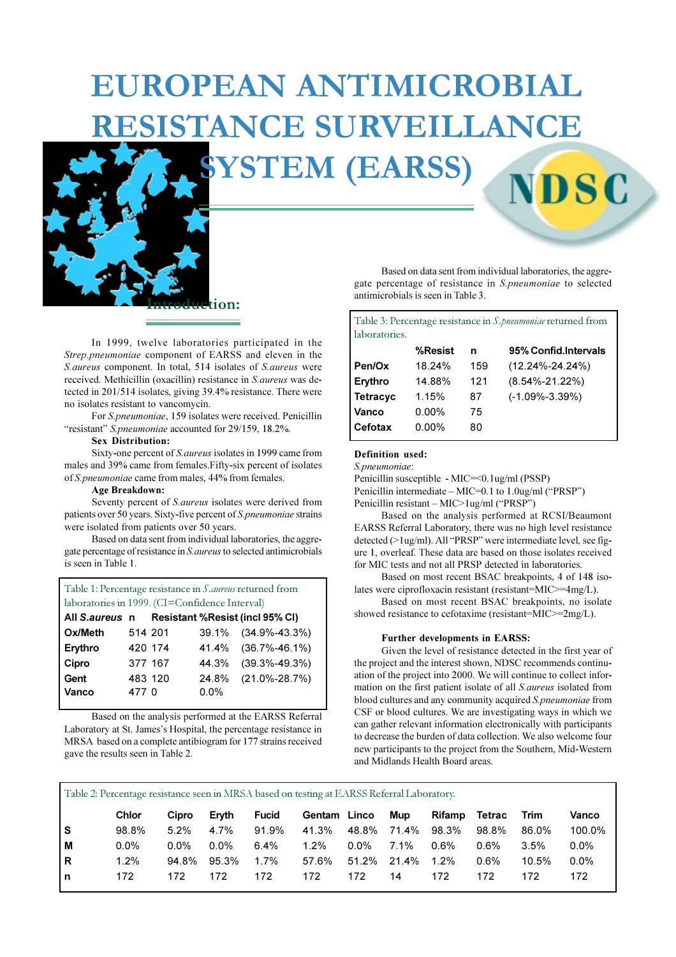# **EUROPEAN ANTIMICROBIAL RESISTANCE SURVEILLANCE**

**YSTEM (EARSS)** 



:10n:

In 1999, twelve laboratories participated in the Strep.pneumoniae component of EARSS and eleven in the S. aureus component. In total, 514 isolates of S. aureus were received. Methicillin (oxacillin) resistance in S. aureus was detected in 201/514 isolates, giving 39.4% resistance. There were no isolates resistant to vancomycin.

For S.pneumoniae, 159 isolates were received. Penicillin "resistant" S.pneumoniae accounted for 29/159, 18.2%.

#### **Sex Distribution:**

Sixty-one percent of *S. aureus* isolates in 1999 came from males and 39% came from females. Fifty-six percent of isolates of S.pneumoniae came from males, 44% from females.

#### **Age Breakdown:**

172

 $\mathbf n$ 

Seventy percent of S. aureus isolates were derived from patients over 50 years. Sixty-five percent of S.pneumoniae strains were isolated from patients over 50 years.

Based on data sent from individual laboratories, the aggregate percentage of resistance in S. aureus to selected antimicrobials is seen in Table 1.

Table 1: Percentage resistance in S. aureus returned from laboratories in 1999. (CI=Confidence Interval)

| All S.aureus n |         |         |         | Resistant %Resist (incl 95% CI) |
|----------------|---------|---------|---------|---------------------------------|
| Ox/Meth        | 514 201 |         |         | 39.1% (34.9%-43.3%)             |
| Erythro        | 420 174 |         |         | 41.4% (36.7%-46.1%)             |
| Cipro          |         | 377 167 |         | 44.3% (39.3%-49.3%)             |
| Gent           |         | 483 120 |         | 24.8% (21.0%-28.7%)             |
| Vanco          | 477 0   |         | $0.0\%$ |                                 |

Based on the analysis performed at the EARSS Referral Laboratory at St. James's Hospital, the percentage resistance in MRSA based on a complete antibiogram for 177 strains received gave the results seen in Table 2.

172

172

172

Based on data sent from individual laboratories, the aggregate percentage of resistance in S.pneumoniae to selected antimicrobials is seen in Table 3.

NDSG

| Table 3: Percentage resistance in S. pneumoniae returned from |          |     |                       |  |  |  |
|---------------------------------------------------------------|----------|-----|-----------------------|--|--|--|
| laboratories.                                                 |          |     |                       |  |  |  |
|                                                               | %Resist  | n   | 95% Confid. Intervals |  |  |  |
| Pen/Ox                                                        | 18.24%   | 159 | $(12.24\% - 24.24\%)$ |  |  |  |
| Erythro                                                       | 14.88%   | 121 | $(8.54\% - 21.22\%)$  |  |  |  |
| <b>Tetracyc</b>                                               | 1.15%    | 87  | $(-1.09\% - 3.39\%)$  |  |  |  |
| Vanco                                                         | $0.00\%$ | 75  |                       |  |  |  |
| Cefotax                                                       | $0.00\%$ | 80  |                       |  |  |  |

#### Definition used:

S.pneumoniae:

Penicillin susceptible -  $MIC=< 0.1$ ug/ml (PSSP) Penicillin intermediate – MIC=0.1 to 1.0ug/ml ("PRSP") Penicillin resistant - MIC>1ug/ml ("PRSP")

Based on the analysis performed at RCSI/Beaumont EARSS Referral Laboratory, there was no high level resistance detected (>1ug/ml). All "PRSP" were intermediate level, see figure 1, overleaf. These data are based on those isolates received for MIC tests and not all PRSP detected in laboratories.

Based on most recent BSAC breakpoints, 4 of 148 isolates were ciprofloxacin resistant (resistant=MIC>=4mg/L).

Based on most recent BSAC breakpoints, no isolate showed resistance to cefotaxime (resistant=MIC>=2mg/L).

#### Further developments in EARSS:

172

Given the level of resistance detected in the first year of the project and the interest shown, NDSC recommends continuation of the project into 2000. We will continue to collect information on the first patient isolate of all S. aureus isolated from blood cultures and any community acquired S.pneumoniae from CSF or blood cultures. We are investigating ways in which we can gather relevant information electronically with participants to decrease the burden of data collection. We also welcome four new participants to the project from the Southern, Mid-Western and Midlands Health Board areas.

172

Vanco 100.0%  $0.0%$ 

 $0.0%$ 

172

10.5%

172

| Table 2: Percentage resistance seen in MRSA based on testing at EARSS Referral Laboratory. |         |         |           |         |                                                  |  |                      |         |         |
|--------------------------------------------------------------------------------------------|---------|---------|-----------|---------|--------------------------------------------------|--|----------------------|---------|---------|
|                                                                                            | Chlor   |         |           |         | Cipro Eryth Fucid Gentam Linco Mup Rifamp Tetrac |  |                      |         | Trim    |
| s                                                                                          | 98.8%   |         | 5.2% 4.7% |         | 91.9% 41.3% 48.8% 71.4% 98.3% 98.8%              |  |                      |         | 86.0%   |
| м                                                                                          | $0.0\%$ | $0.0\%$ | $0.0\%$   | $6.4\%$ | $1.2\%$                                          |  | $0.0\%$ 7.1% $0.6\%$ | 0.6%    | $3.5\%$ |
| R.                                                                                         | 1.2%    |         |           |         | 94.8% 95.3% 1.7% 57.6% 51.2% 21.4% 1.2%          |  |                      | $0.6\%$ | 10.5%   |

172

 $14$ 

172